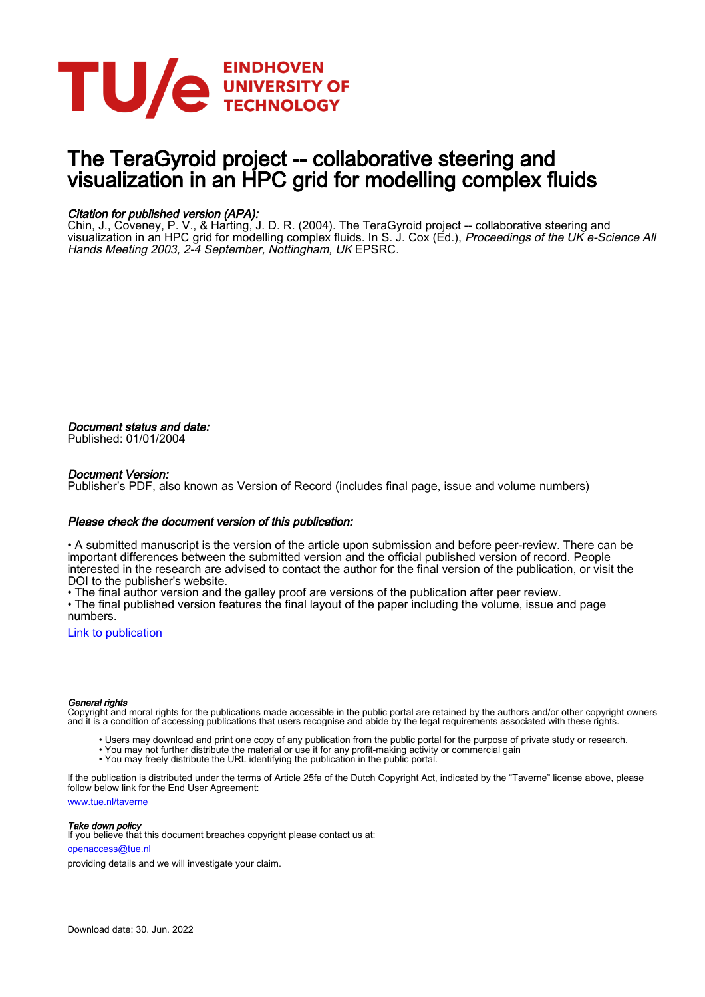

# The TeraGyroid project -- collaborative steering and visualization in an HPC grid for modelling complex fluids

# Citation for published version (APA):

Chin, J., Coveney, P. V., & Harting, J. D. R. (2004). The TeraGyroid project -- collaborative steering and visualization in an HPC grid for modelling complex fluids. In S. J. Cox (Ed.), *Proceedings of the UK e-Science All* Hands Meeting 2003, 2-4 September, Nottingham, UK EPSRC.

Document status and date: Published: 01/01/2004

# Document Version:

Publisher's PDF, also known as Version of Record (includes final page, issue and volume numbers)

# Please check the document version of this publication:

• A submitted manuscript is the version of the article upon submission and before peer-review. There can be important differences between the submitted version and the official published version of record. People interested in the research are advised to contact the author for the final version of the publication, or visit the DOI to the publisher's website.

• The final author version and the galley proof are versions of the publication after peer review.

• The final published version features the final layout of the paper including the volume, issue and page numbers.

[Link to publication](https://research.tue.nl/en/publications/21c93d13-410a-4c3a-94fe-6751b7525989)

#### General rights

Copyright and moral rights for the publications made accessible in the public portal are retained by the authors and/or other copyright owners and it is a condition of accessing publications that users recognise and abide by the legal requirements associated with these rights.

- Users may download and print one copy of any publication from the public portal for the purpose of private study or research.
- You may not further distribute the material or use it for any profit-making activity or commercial gain
- You may freely distribute the URL identifying the publication in the public portal.

If the publication is distributed under the terms of Article 25fa of the Dutch Copyright Act, indicated by the "Taverne" license above, please follow below link for the End User Agreement:

www.tue.nl/taverne

**Take down policy**<br>If you believe that this document breaches copyright please contact us at:

openaccess@tue.nl

providing details and we will investigate your claim.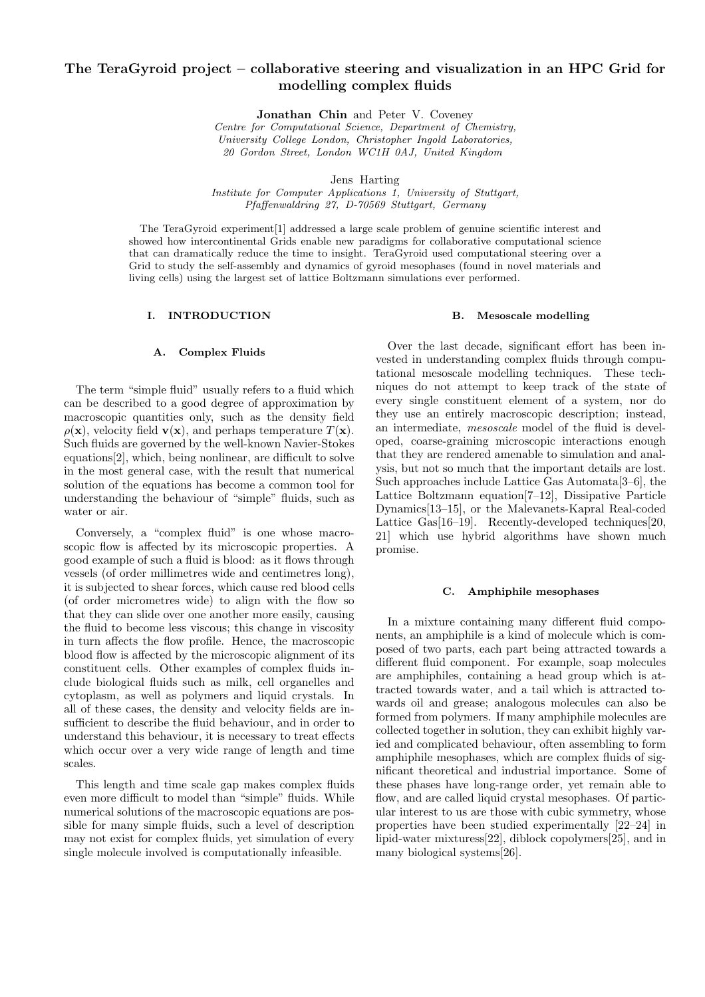# The TeraGyroid project – collaborative steering and visualization in an HPC Grid for modelling complex fluids

Jonathan Chin and Peter V. Coveney

Centre for Computational Science, Department of Chemistry, University College London, Christopher Ingold Laboratories, 20 Gordon Street, London WC1H 0AJ, United Kingdom

Jens Harting

Institute for Computer Applications 1, University of Stuttgart, Pfaffenwaldring 27, D-70569 Stuttgart, Germany

The TeraGyroid experiment[1] addressed a large scale problem of genuine scientific interest and showed how intercontinental Grids enable new paradigms for collaborative computational science that can dramatically reduce the time to insight. TeraGyroid used computational steering over a Grid to study the self-assembly and dynamics of gyroid mesophases (found in novel materials and living cells) using the largest set of lattice Boltzmann simulations ever performed.

#### I. INTRODUCTION

#### A. Complex Fluids

The term "simple fluid" usually refers to a fluid which can be described to a good degree of approximation by macroscopic quantities only, such as the density field  $\rho(\mathbf{x})$ , velocity field  $\mathbf{v}(\mathbf{x})$ , and perhaps temperature  $T(\mathbf{x})$ . Such fluids are governed by the well-known Navier-Stokes equations[2], which, being nonlinear, are difficult to solve in the most general case, with the result that numerical solution of the equations has become a common tool for understanding the behaviour of "simple" fluids, such as water or air.

Conversely, a "complex fluid" is one whose macroscopic flow is affected by its microscopic properties. A good example of such a fluid is blood: as it flows through vessels (of order millimetres wide and centimetres long), it is subjected to shear forces, which cause red blood cells (of order micrometres wide) to align with the flow so that they can slide over one another more easily, causing the fluid to become less viscous; this change in viscosity in turn affects the flow profile. Hence, the macroscopic blood flow is affected by the microscopic alignment of its constituent cells. Other examples of complex fluids include biological fluids such as milk, cell organelles and cytoplasm, as well as polymers and liquid crystals. In all of these cases, the density and velocity fields are insufficient to describe the fluid behaviour, and in order to understand this behaviour, it is necessary to treat effects which occur over a very wide range of length and time scales.

This length and time scale gap makes complex fluids even more difficult to model than "simple" fluids. While numerical solutions of the macroscopic equations are possible for many simple fluids, such a level of description may not exist for complex fluids, yet simulation of every single molecule involved is computationally infeasible.

#### B. Mesoscale modelling

Over the last decade, significant effort has been invested in understanding complex fluids through computational mesoscale modelling techniques. These techniques do not attempt to keep track of the state of every single constituent element of a system, nor do they use an entirely macroscopic description; instead, an intermediate, mesoscale model of the fluid is developed, coarse-graining microscopic interactions enough that they are rendered amenable to simulation and analysis, but not so much that the important details are lost. Such approaches include Lattice Gas Automata[3–6], the Lattice Boltzmann equation[7–12], Dissipative Particle Dynamics[13–15], or the Malevanets-Kapral Real-coded Lattice Gas[16–19]. Recently-developed techniques[20, 21] which use hybrid algorithms have shown much promise.

#### C. Amphiphile mesophases

In a mixture containing many different fluid components, an amphiphile is a kind of molecule which is composed of two parts, each part being attracted towards a different fluid component. For example, soap molecules are amphiphiles, containing a head group which is attracted towards water, and a tail which is attracted towards oil and grease; analogous molecules can also be formed from polymers. If many amphiphile molecules are collected together in solution, they can exhibit highly varied and complicated behaviour, often assembling to form amphiphile mesophases, which are complex fluids of significant theoretical and industrial importance. Some of these phases have long-range order, yet remain able to flow, and are called liquid crystal mesophases. Of particular interest to us are those with cubic symmetry, whose properties have been studied experimentally [22–24] in lipid-water mixturess[22], diblock copolymers[25], and in many biological systems[26].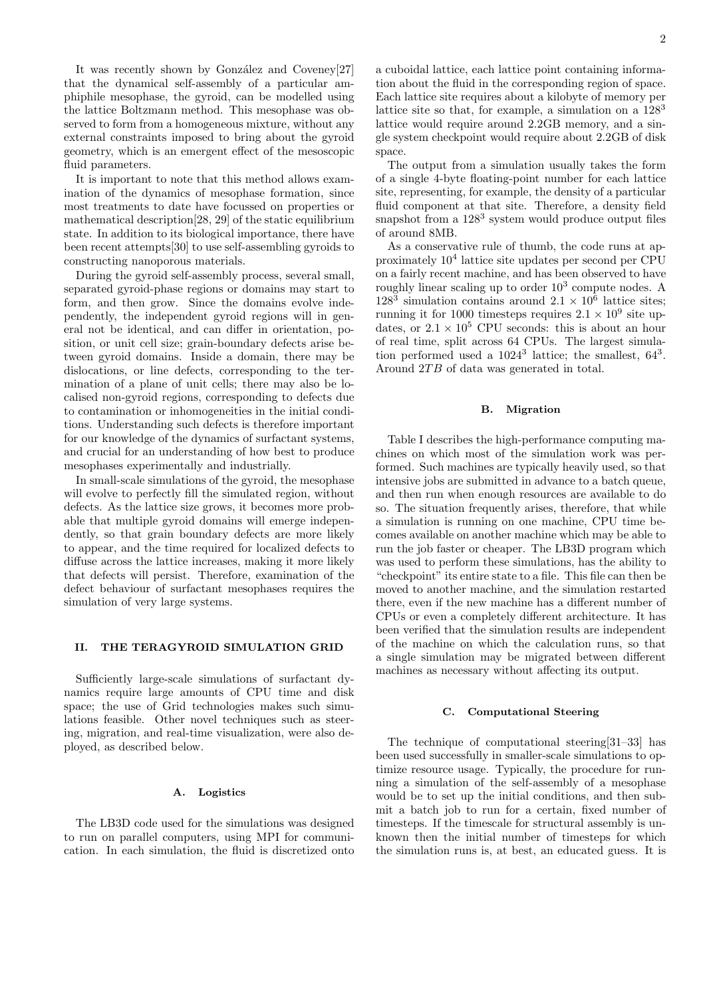It was recently shown by González and Coveney[27] that the dynamical self-assembly of a particular amphiphile mesophase, the gyroid, can be modelled using the lattice Boltzmann method. This mesophase was observed to form from a homogeneous mixture, without any external constraints imposed to bring about the gyroid geometry, which is an emergent effect of the mesoscopic fluid parameters.

It is important to note that this method allows examination of the dynamics of mesophase formation, since most treatments to date have focussed on properties or mathematical description[28, 29] of the static equilibrium state. In addition to its biological importance, there have been recent attempts[30] to use self-assembling gyroids to constructing nanoporous materials.

During the gyroid self-assembly process, several small, separated gyroid-phase regions or domains may start to form, and then grow. Since the domains evolve independently, the independent gyroid regions will in general not be identical, and can differ in orientation, position, or unit cell size; grain-boundary defects arise between gyroid domains. Inside a domain, there may be dislocations, or line defects, corresponding to the termination of a plane of unit cells; there may also be localised non-gyroid regions, corresponding to defects due to contamination or inhomogeneities in the initial conditions. Understanding such defects is therefore important for our knowledge of the dynamics of surfactant systems, and crucial for an understanding of how best to produce mesophases experimentally and industrially.

In small-scale simulations of the gyroid, the mesophase will evolve to perfectly fill the simulated region, without defects. As the lattice size grows, it becomes more probable that multiple gyroid domains will emerge independently, so that grain boundary defects are more likely to appear, and the time required for localized defects to diffuse across the lattice increases, making it more likely that defects will persist. Therefore, examination of the defect behaviour of surfactant mesophases requires the simulation of very large systems.

#### II. THE TERAGYROID SIMULATION GRID

Sufficiently large-scale simulations of surfactant dynamics require large amounts of CPU time and disk space; the use of Grid technologies makes such simulations feasible. Other novel techniques such as steering, migration, and real-time visualization, were also deployed, as described below.

# A. Logistics

The LB3D code used for the simulations was designed to run on parallel computers, using MPI for communication. In each simulation, the fluid is discretized onto a cuboidal lattice, each lattice point containing information about the fluid in the corresponding region of space. Each lattice site requires about a kilobyte of memory per lattice site so that, for example, a simulation on a 128<sup>3</sup> lattice would require around 2.2GB memory, and a single system checkpoint would require about 2.2GB of disk space.

The output from a simulation usually takes the form of a single 4-byte floating-point number for each lattice site, representing, for example, the density of a particular fluid component at that site. Therefore, a density field snapshot from a  $128^3$  system would produce output files of around 8MB.

As a conservative rule of thumb, the code runs at approximately 10<sup>4</sup> lattice site updates per second per CPU on a fairly recent machine, and has been observed to have roughly linear scaling up to order  $10^3$  compute nodes. A  $128^3$  simulation contains around  $2.1 \times 10^6$  lattice sites; running it for 1000 timesteps requires  $2.1 \times 10^9$  site updates, or  $2.1 \times 10^5$  CPU seconds: this is about an hour of real time, split across 64 CPUs. The largest simulation performed used a  $1024^3$  lattice; the smallest,  $64^3$ . Around 2TB of data was generated in total.

# B. Migration

Table I describes the high-performance computing machines on which most of the simulation work was performed. Such machines are typically heavily used, so that intensive jobs are submitted in advance to a batch queue, and then run when enough resources are available to do so. The situation frequently arises, therefore, that while a simulation is running on one machine, CPU time becomes available on another machine which may be able to run the job faster or cheaper. The LB3D program which was used to perform these simulations, has the ability to "checkpoint" its entire state to a file. This file can then be moved to another machine, and the simulation restarted there, even if the new machine has a different number of CPUs or even a completely different architecture. It has been verified that the simulation results are independent of the machine on which the calculation runs, so that a single simulation may be migrated between different machines as necessary without affecting its output.

#### C. Computational Steering

The technique of computational steering[31–33] has been used successfully in smaller-scale simulations to optimize resource usage. Typically, the procedure for running a simulation of the self-assembly of a mesophase would be to set up the initial conditions, and then submit a batch job to run for a certain, fixed number of timesteps. If the timescale for structural assembly is unknown then the initial number of timesteps for which the simulation runs is, at best, an educated guess. It is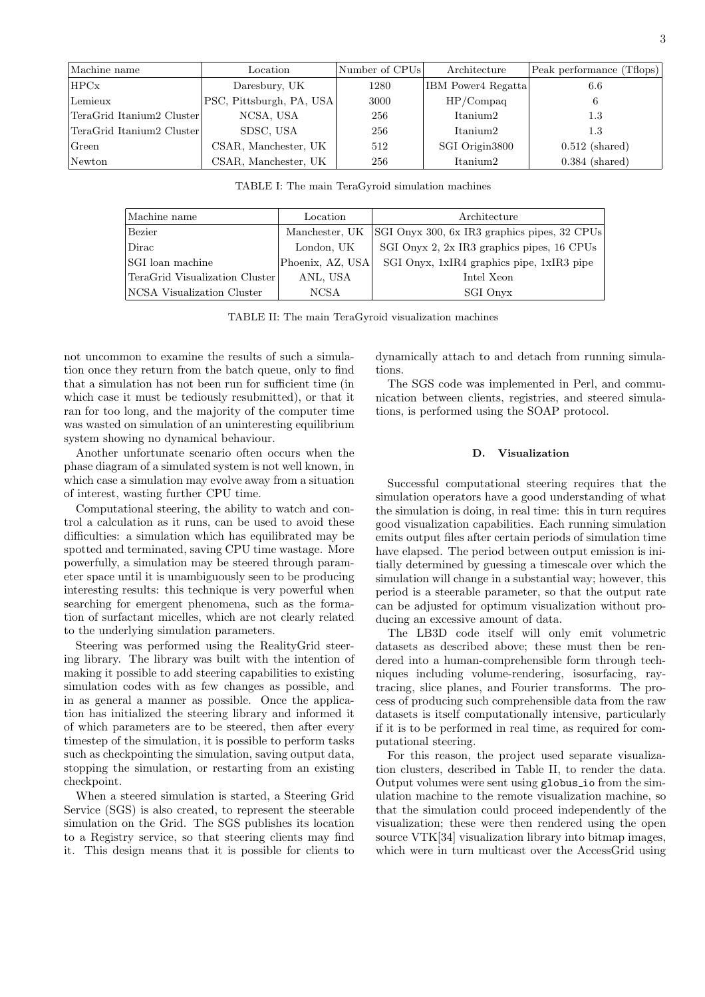| Machine name              | Location                 | Number of CPUs | Architecture         | Peak performance (Tflops) |
|---------------------------|--------------------------|----------------|----------------------|---------------------------|
| <b>HPCx</b>               | Daresbury, UK            | 1280           | IBM Power4 Regatta   | 6.6                       |
| Lemieux                   | PSC, Pittsburgh, PA, USA | 3000           | HP/Compaq            |                           |
| TeraGrid Itanium2 Cluster | NCSA, USA                | 256            | Itanium <sub>2</sub> | 1.3                       |
| TeraGrid Itanium2 Cluster | SDSC, USA                | 256            | Itanium <sub>2</sub> | 1.3                       |
| Green                     | CSAR, Manchester, UK     | 512            | SGI Origin3800       | $0.512$ (shared)          |
| Newton                    | CSAR, Manchester, UK     | 256            | Itanium <sub>2</sub> | $0.384$ (shared)          |

TABLE I: The main TeraGyroid simulation machines

| Machine name                   | Location         | Architecture                                                |
|--------------------------------|------------------|-------------------------------------------------------------|
| Bezier                         |                  | Manchester, UK SGI Onyx 300, 6x IR3 graphics pipes, 32 CPUs |
| Dirac                          | London, UK       | SGI Onyx 2, 2x IR3 graphics pipes, 16 CPUs                  |
| SGI loan machine               | Phoenix, AZ, USA | SGI Onyx, 1xIR4 graphics pipe, 1xIR3 pipe                   |
| TeraGrid Visualization Cluster | ANL, USA         | Intel Xeon                                                  |
| NCSA Visualization Cluster     | NCSA             | SGI Onyx                                                    |

TABLE II: The main TeraGyroid visualization machines

not uncommon to examine the results of such a simulation once they return from the batch queue, only to find that a simulation has not been run for sufficient time (in which case it must be tediously resubmitted), or that it ran for too long, and the majority of the computer time was wasted on simulation of an uninteresting equilibrium system showing no dynamical behaviour.

Another unfortunate scenario often occurs when the phase diagram of a simulated system is not well known, in which case a simulation may evolve away from a situation of interest, wasting further CPU time.

Computational steering, the ability to watch and control a calculation as it runs, can be used to avoid these difficulties: a simulation which has equilibrated may be spotted and terminated, saving CPU time wastage. More powerfully, a simulation may be steered through parameter space until it is unambiguously seen to be producing interesting results: this technique is very powerful when searching for emergent phenomena, such as the formation of surfactant micelles, which are not clearly related to the underlying simulation parameters.

Steering was performed using the RealityGrid steering library. The library was built with the intention of making it possible to add steering capabilities to existing simulation codes with as few changes as possible, and in as general a manner as possible. Once the application has initialized the steering library and informed it of which parameters are to be steered, then after every timestep of the simulation, it is possible to perform tasks such as checkpointing the simulation, saving output data, stopping the simulation, or restarting from an existing checkpoint.

When a steered simulation is started, a Steering Grid Service (SGS) is also created, to represent the steerable simulation on the Grid. The SGS publishes its location to a Registry service, so that steering clients may find it. This design means that it is possible for clients to dynamically attach to and detach from running simulations.

The SGS code was implemented in Perl, and communication between clients, registries, and steered simulations, is performed using the SOAP protocol.

### D. Visualization

Successful computational steering requires that the simulation operators have a good understanding of what the simulation is doing, in real time: this in turn requires good visualization capabilities. Each running simulation emits output files after certain periods of simulation time have elapsed. The period between output emission is initially determined by guessing a timescale over which the simulation will change in a substantial way; however, this period is a steerable parameter, so that the output rate can be adjusted for optimum visualization without producing an excessive amount of data.

The LB3D code itself will only emit volumetric datasets as described above; these must then be rendered into a human-comprehensible form through techniques including volume-rendering, isosurfacing, raytracing, slice planes, and Fourier transforms. The process of producing such comprehensible data from the raw datasets is itself computationally intensive, particularly if it is to be performed in real time, as required for computational steering.

For this reason, the project used separate visualization clusters, described in Table II, to render the data. Output volumes were sent using globus io from the simulation machine to the remote visualization machine, so that the simulation could proceed independently of the visualization; these were then rendered using the open source VTK[34] visualization library into bitmap images, which were in turn multicast over the AccessGrid using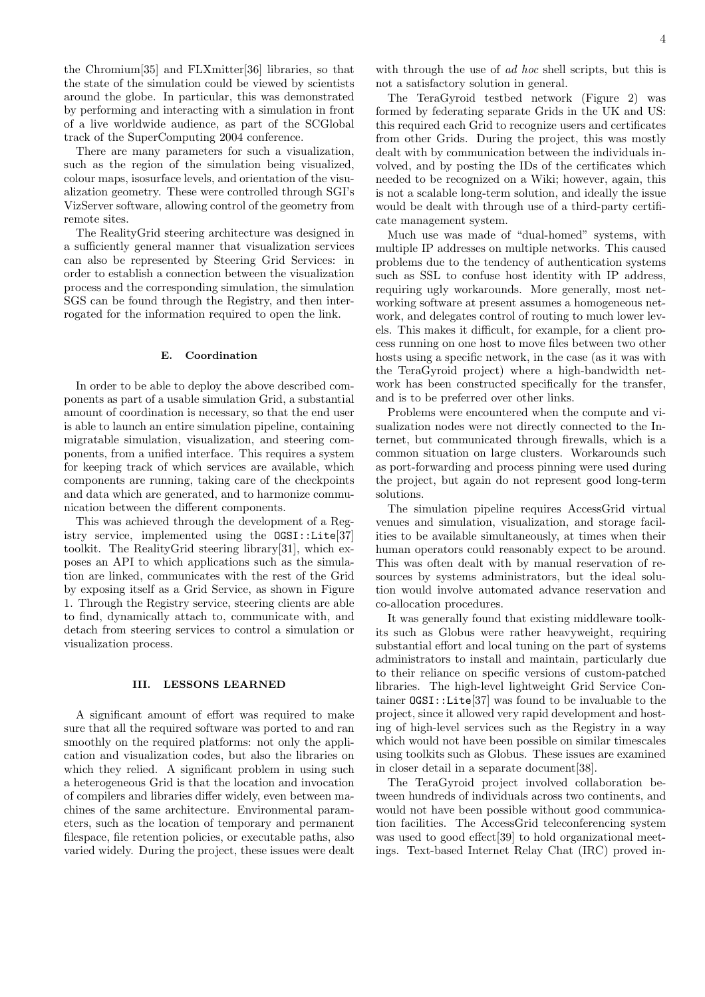the Chromium[35] and FLXmitter[36] libraries, so that the state of the simulation could be viewed by scientists around the globe. In particular, this was demonstrated by performing and interacting with a simulation in front of a live worldwide audience, as part of the SCGlobal track of the SuperComputing 2004 conference.

There are many parameters for such a visualization, such as the region of the simulation being visualized, colour maps, isosurface levels, and orientation of the visualization geometry. These were controlled through SGI's VizServer software, allowing control of the geometry from remote sites.

The RealityGrid steering architecture was designed in a sufficiently general manner that visualization services can also be represented by Steering Grid Services: in order to establish a connection between the visualization process and the corresponding simulation, the simulation SGS can be found through the Registry, and then interrogated for the information required to open the link.

#### E. Coordination

In order to be able to deploy the above described components as part of a usable simulation Grid, a substantial amount of coordination is necessary, so that the end user is able to launch an entire simulation pipeline, containing migratable simulation, visualization, and steering components, from a unified interface. This requires a system for keeping track of which services are available, which components are running, taking care of the checkpoints and data which are generated, and to harmonize communication between the different components.

This was achieved through the development of a Registry service, implemented using the  $OGSI::Lite[37]$ toolkit. The RealityGrid steering library[31], which exposes an API to which applications such as the simulation are linked, communicates with the rest of the Grid by exposing itself as a Grid Service, as shown in Figure 1. Through the Registry service, steering clients are able to find, dynamically attach to, communicate with, and detach from steering services to control a simulation or visualization process.

#### III. LESSONS LEARNED

A significant amount of effort was required to make sure that all the required software was ported to and ran smoothly on the required platforms: not only the application and visualization codes, but also the libraries on which they relied. A significant problem in using such a heterogeneous Grid is that the location and invocation of compilers and libraries differ widely, even between machines of the same architecture. Environmental parameters, such as the location of temporary and permanent filespace, file retention policies, or executable paths, also varied widely. During the project, these issues were dealt with through the use of *ad hoc* shell scripts, but this is not a satisfactory solution in general.

The TeraGyroid testbed network (Figure 2) was formed by federating separate Grids in the UK and US: this required each Grid to recognize users and certificates from other Grids. During the project, this was mostly dealt with by communication between the individuals involved, and by posting the IDs of the certificates which needed to be recognized on a Wiki; however, again, this is not a scalable long-term solution, and ideally the issue would be dealt with through use of a third-party certificate management system.

Much use was made of "dual-homed" systems, with multiple IP addresses on multiple networks. This caused problems due to the tendency of authentication systems such as SSL to confuse host identity with IP address, requiring ugly workarounds. More generally, most networking software at present assumes a homogeneous network, and delegates control of routing to much lower levels. This makes it difficult, for example, for a client process running on one host to move files between two other hosts using a specific network, in the case (as it was with the TeraGyroid project) where a high-bandwidth network has been constructed specifically for the transfer, and is to be preferred over other links.

Problems were encountered when the compute and visualization nodes were not directly connected to the Internet, but communicated through firewalls, which is a common situation on large clusters. Workarounds such as port-forwarding and process pinning were used during the project, but again do not represent good long-term solutions.

The simulation pipeline requires AccessGrid virtual venues and simulation, visualization, and storage facilities to be available simultaneously, at times when their human operators could reasonably expect to be around. This was often dealt with by manual reservation of resources by systems administrators, but the ideal solution would involve automated advance reservation and co-allocation procedures.

It was generally found that existing middleware toolkits such as Globus were rather heavyweight, requiring substantial effort and local tuning on the part of systems administrators to install and maintain, particularly due to their reliance on specific versions of custom-patched libraries. The high-level lightweight Grid Service Container OGSI::Lite[37] was found to be invaluable to the project, since it allowed very rapid development and hosting of high-level services such as the Registry in a way which would not have been possible on similar timescales using toolkits such as Globus. These issues are examined in closer detail in a separate document[38].

The TeraGyroid project involved collaboration between hundreds of individuals across two continents, and would not have been possible without good communication facilities. The AccessGrid teleconferencing system was used to good effect<sup>[39]</sup> to hold organizational meetings. Text-based Internet Relay Chat (IRC) proved in-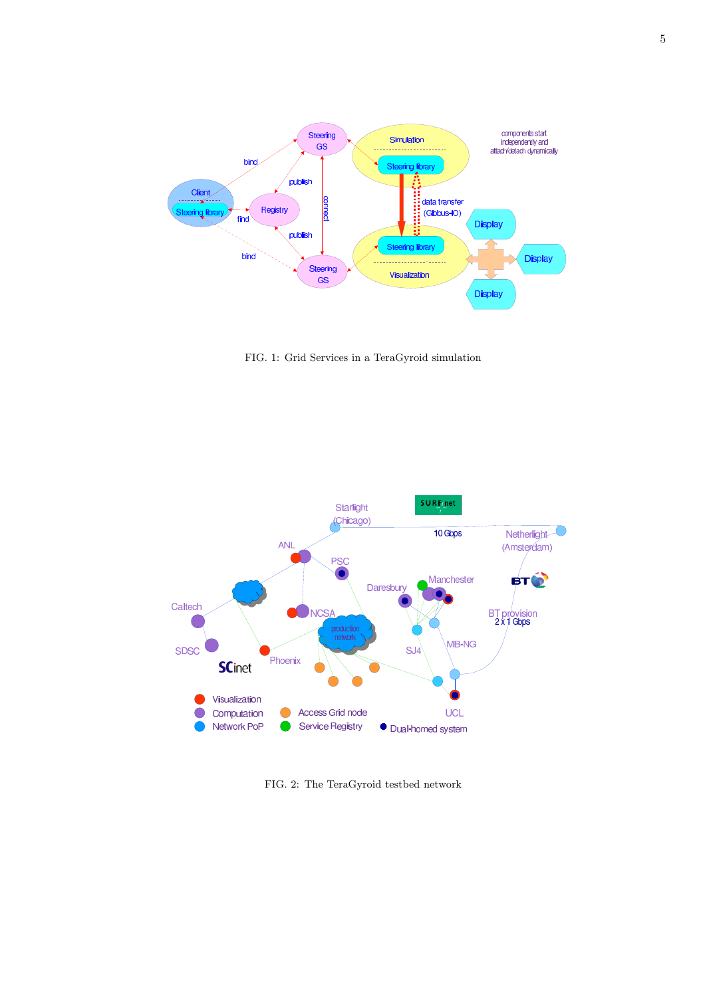

FIG. 1: Grid Services in a TeraGyroid simulation



FIG. 2: The TeraGyroid testbed network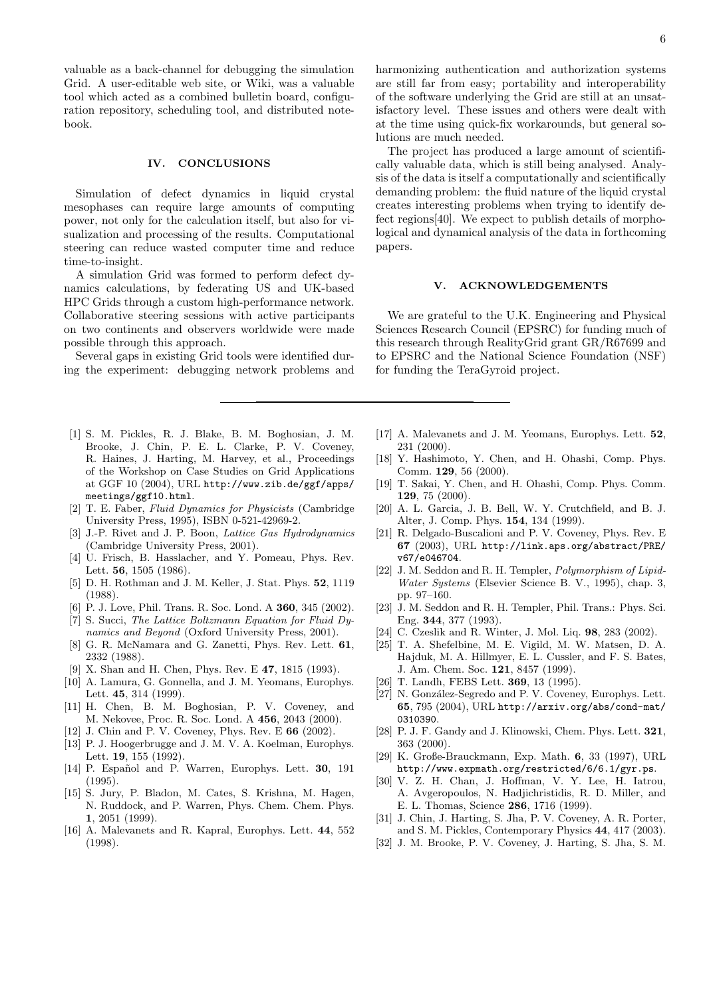valuable as a back-channel for debugging the simulation Grid. A user-editable web site, or Wiki, was a valuable tool which acted as a combined bulletin board, configuration repository, scheduling tool, and distributed notebook.

# IV. CONCLUSIONS

Simulation of defect dynamics in liquid crystal mesophases can require large amounts of computing power, not only for the calculation itself, but also for visualization and processing of the results. Computational steering can reduce wasted computer time and reduce time-to-insight.

A simulation Grid was formed to perform defect dynamics calculations, by federating US and UK-based HPC Grids through a custom high-performance network. Collaborative steering sessions with active participants on two continents and observers worldwide were made possible through this approach.

Several gaps in existing Grid tools were identified during the experiment: debugging network problems and

- [1] S. M. Pickles, R. J. Blake, B. M. Boghosian, J. M. Brooke, J. Chin, P. E. L. Clarke, P. V. Coveney, R. Haines, J. Harting, M. Harvey, et al., Proceedings of the Workshop on Case Studies on Grid Applications at GGF 10 (2004), URL http://www.zib.de/ggf/apps/ meetings/ggf10.html.
- [2] T. E. Faber, Fluid Dynamics for Physicists (Cambridge University Press, 1995), ISBN 0-521-42969-2.
- [3] J.-P. Rivet and J. P. Boon, Lattice Gas Hydrodynamics (Cambridge University Press, 2001).
- [4] U. Frisch, B. Hasslacher, and Y. Pomeau, Phys. Rev. Lett. 56, 1505 (1986).
- [5] D. H. Rothman and J. M. Keller, J. Stat. Phys. 52, 1119 (1988).
- [6] P. J. Love, Phil. Trans. R. Soc. Lond. A 360, 345 (2002).
- [7] S. Succi, The Lattice Boltzmann Equation for Fluid Dynamics and Beyond (Oxford University Press, 2001).
- G. R. McNamara and G. Zanetti, Phys. Rev. Lett. 61, 2332 (1988).
- [9] X. Shan and H. Chen, Phys. Rev. E 47, 1815 (1993).
- [10] A. Lamura, G. Gonnella, and J. M. Yeomans, Europhys. Lett. 45, 314 (1999).
- [11] H. Chen, B. M. Boghosian, P. V. Coveney, and M. Nekovee, Proc. R. Soc. Lond. A 456, 2043 (2000).
- [12] J. Chin and P. V. Coveney, Phys. Rev. E 66 (2002).
- [13] P. J. Hoogerbrugge and J. M. V. A. Koelman, Europhys. Lett. 19, 155 (1992).
- [14] P. Español and P. Warren, Europhys. Lett. 30, 191 (1995).
- [15] S. Jury, P. Bladon, M. Cates, S. Krishna, M. Hagen, N. Ruddock, and P. Warren, Phys. Chem. Chem. Phys. 1, 2051 (1999).
- [16] A. Malevanets and R. Kapral, Europhys. Lett. 44, 552 (1998).

harmonizing authentication and authorization systems are still far from easy; portability and interoperability of the software underlying the Grid are still at an unsatisfactory level. These issues and others were dealt with at the time using quick-fix workarounds, but general solutions are much needed.

The project has produced a large amount of scientifically valuable data, which is still being analysed. Analysis of the data is itself a computationally and scientifically demanding problem: the fluid nature of the liquid crystal creates interesting problems when trying to identify defect regions[40]. We expect to publish details of morphological and dynamical analysis of the data in forthcoming papers.

#### V. ACKNOWLEDGEMENTS

We are grateful to the U.K. Engineering and Physical Sciences Research Council (EPSRC) for funding much of this research through RealityGrid grant GR/R67699 and to EPSRC and the National Science Foundation (NSF) for funding the TeraGyroid project.

- [17] A. Malevanets and J. M. Yeomans, Europhys. Lett. 52, 231 (2000).
- [18] Y. Hashimoto, Y. Chen, and H. Ohashi, Comp. Phys. Comm. 129, 56 (2000).
- [19] T. Sakai, Y. Chen, and H. Ohashi, Comp. Phys. Comm. 129, 75 (2000).
- [20] A. L. Garcia, J. B. Bell, W. Y. Crutchfield, and B. J. Alter, J. Comp. Phys. 154, 134 (1999).
- [21] R. Delgado-Buscalioni and P. V. Coveney, Phys. Rev. E 67 (2003), URL http://link.aps.org/abstract/PRE/ v67/e046704.
- [22] J. M. Seddon and R. H. Templer, Polymorphism of Lipid-Water Systems (Elsevier Science B. V., 1995), chap. 3, pp. 97–160.
- [23] J. M. Seddon and R. H. Templer, Phil. Trans.: Phys. Sci. Eng. 344, 377 (1993).
- [24] C. Czeslik and R. Winter, J. Mol. Liq. 98, 283 (2002).
- [25] T. A. Shefelbine, M. E. Vigild, M. W. Matsen, D. A. Hajduk, M. A. Hillmyer, E. L. Cussler, and F. S. Bates, J. Am. Chem. Soc. 121, 8457 (1999).
- [26] T. Landh, FEBS Lett. **369**, 13 (1995).
- [27] N. González-Segredo and P. V. Coveney, Europhys. Lett. 65, 795 (2004), URL http://arxiv.org/abs/cond-mat/ 0310390.
- [28] P. J. F. Gandy and J. Klinowski, Chem. Phys. Lett. 321, 363 (2000).
- [29] K. Große-Brauckmann, Exp. Math. 6, 33 (1997), URL http://www.expmath.org/restricted/6/6.1/gyr.ps.
- [30] V. Z. H. Chan, J. Hoffman, V. Y. Lee, H. Iatrou, A. Avgeropoulos, N. Hadjichristidis, R. D. Miller, and E. L. Thomas, Science 286, 1716 (1999).
- [31] J. Chin, J. Harting, S. Jha, P. V. Coveney, A. R. Porter, and S. M. Pickles, Contemporary Physics 44, 417 (2003).
- [32] J. M. Brooke, P. V. Coveney, J. Harting, S. Jha, S. M.